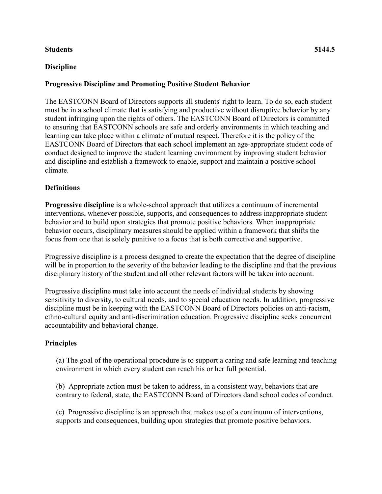# **Students 5144.5**

# **Discipline**

# **Progressive Discipline and Promoting Positive Student Behavior**

The EASTCONN Board of Directors supports all students' right to learn. To do so, each student must be in a school climate that is satisfying and productive without disruptive behavior by any student infringing upon the rights of others. The EASTCONN Board of Directors is committed to ensuring that EASTCONN schools are safe and orderly environments in which teaching and learning can take place within a climate of mutual respect. Therefore it is the policy of the EASTCONN Board of Directors that each school implement an age-appropriate student code of conduct designed to improve the student learning environment by improving student behavior and discipline and establish a framework to enable, support and maintain a positive school climate.

### **Definitions**

**Progressive discipline** is a whole-school approach that utilizes a continuum of incremental interventions, whenever possible, supports, and consequences to address inappropriate student behavior and to build upon strategies that promote positive behaviors. When inappropriate behavior occurs, disciplinary measures should be applied within a framework that shifts the focus from one that is solely punitive to a focus that is both corrective and supportive.

Progressive discipline is a process designed to create the expectation that the degree of discipline will be in proportion to the severity of the behavior leading to the discipline and that the previous disciplinary history of the student and all other relevant factors will be taken into account.

Progressive discipline must take into account the needs of individual students by showing sensitivity to diversity, to cultural needs, and to special education needs. In addition, progressive discipline must be in keeping with the EASTCONN Board of Directors policies on anti-racism, ethno-cultural equity and anti-discrimination education. Progressive discipline seeks concurrent accountability and behavioral change.

#### **Principles**

(a) The goal of the operational procedure is to support a caring and safe learning and teaching environment in which every student can reach his or her full potential.

(b) Appropriate action must be taken to address, in a consistent way, behaviors that are contrary to federal, state, the EASTCONN Board of Directors dand school codes of conduct.

(c) Progressive discipline is an approach that makes use of a continuum of interventions, supports and consequences, building upon strategies that promote positive behaviors.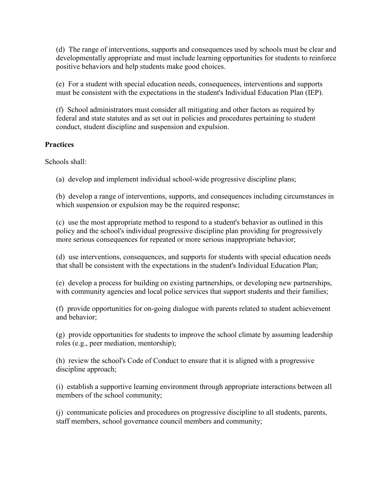(d) The range of interventions, supports and consequences used by schools must be clear and developmentally appropriate and must include learning opportunities for students to reinforce positive behaviors and help students make good choices.

(e) For a student with special education needs, consequences, interventions and supports must be consistent with the expectations in the student's Individual Education Plan (IEP).

(f) School administrators must consider all mitigating and other factors as required by federal and state statutes and as set out in policies and procedures pertaining to student conduct, student discipline and suspension and expulsion.

# **Practices**

Schools shall:

(a) develop and implement individual school-wide progressive discipline plans;

(b) develop a range of interventions, supports, and consequences including circumstances in which suspension or expulsion may be the required response;

(c) use the most appropriate method to respond to a student's behavior as outlined in this policy and the school's individual progressive discipline plan providing for progressively more serious consequences for repeated or more serious inappropriate behavior;

(d) use interventions, consequences, and supports for students with special education needs that shall be consistent with the expectations in the student's Individual Education Plan;

(e) develop a process for building on existing partnerships, or developing new partnerships, with community agencies and local police services that support students and their families;

(f) provide opportunities for on-going dialogue with parents related to student achievement and behavior;

(g) provide opportunities for students to improve the school climate by assuming leadership roles (e.g., peer mediation, mentorship);

(h) review the school's Code of Conduct to ensure that it is aligned with a progressive discipline approach;

(i) establish a supportive learning environment through appropriate interactions between all members of the school community;

(j) communicate policies and procedures on progressive discipline to all students, parents, staff members, school governance council members and community;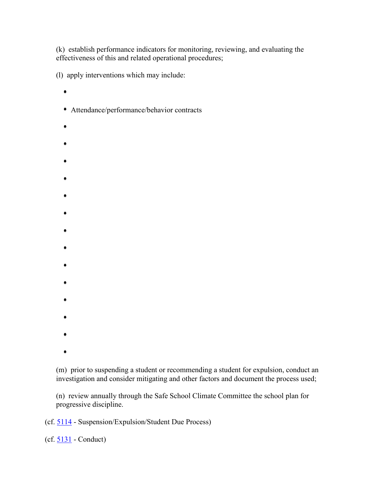(k) establish performance indicators for monitoring, reviewing, and evaluating the effectiveness of this and related operational procedures;

(l) apply interventions which may include:

- $\bullet$
- Attendance/performance/behavior contracts
- 
- 
- 
- 
- 
- 
- 
- 
- 
- 
- 
- 
- 
- 
- 
- 
- 
- 

(m) prior to suspending a student or recommending a student for expulsion, conduct an investigation and consider mitigating and other factors and document the process used;

(n) review annually through the Safe School Climate Committee the school plan for progressive discipline.

(cf. [5114](http://z2policy.cabe.org/cabe/DocViewer.jsp?docid=236&z2collection=core#JD_5114) - Suspension/Expulsion/Student Due Process)

(cf. [5131](http://z2policy.cabe.org/cabe/DocViewer.jsp?docid=267&z2collection=core#JD_5131) - Conduct)